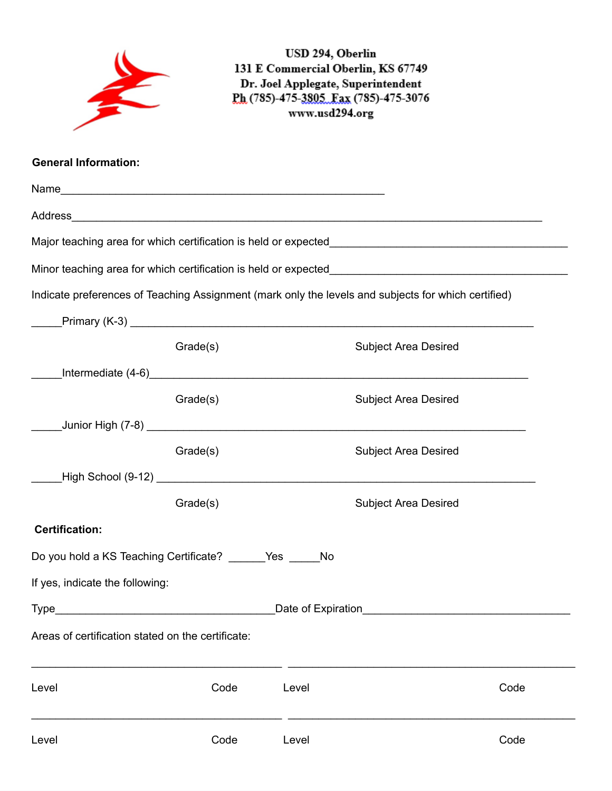|                                                   |          | USD 294, Oberlin<br>www.usd294.org | 131 E Commercial Oberlin, KS 67749<br>Dr. Joel Applegate, Superintendent<br>Ph (785)-475-3805 Fax (785)-475-3076 |      |
|---------------------------------------------------|----------|------------------------------------|------------------------------------------------------------------------------------------------------------------|------|
| <b>General Information:</b>                       |          |                                    |                                                                                                                  |      |
|                                                   |          |                                    |                                                                                                                  |      |
|                                                   |          |                                    | Address Address Address Address Address Address Address Address Address Address Address Address Address Address  |      |
|                                                   |          |                                    |                                                                                                                  |      |
|                                                   |          |                                    |                                                                                                                  |      |
|                                                   |          |                                    | Indicate preferences of Teaching Assignment (mark only the levels and subjects for which certified)              |      |
|                                                   |          |                                    |                                                                                                                  |      |
|                                                   | Grade(s) |                                    | <b>Subject Area Desired</b>                                                                                      |      |
|                                                   |          |                                    |                                                                                                                  |      |
|                                                   | Grade(s) |                                    | <b>Subject Area Desired</b>                                                                                      |      |
|                                                   |          |                                    |                                                                                                                  |      |
|                                                   | Grade(s) |                                    | <b>Subject Area Desired</b>                                                                                      |      |
|                                                   |          |                                    |                                                                                                                  |      |
|                                                   | Grade(s) |                                    | <b>Subject Area Desired</b>                                                                                      |      |
| <b>Certification:</b>                             |          |                                    |                                                                                                                  |      |
| Do you hold a KS Teaching Certificate? Yes No     |          |                                    |                                                                                                                  |      |
| If yes, indicate the following:                   |          |                                    |                                                                                                                  |      |
|                                                   |          |                                    |                                                                                                                  |      |
| Areas of certification stated on the certificate: |          |                                    |                                                                                                                  |      |
| Level                                             | Code     | Level                              |                                                                                                                  | Code |
| Level                                             | Code     | Level                              |                                                                                                                  | Code |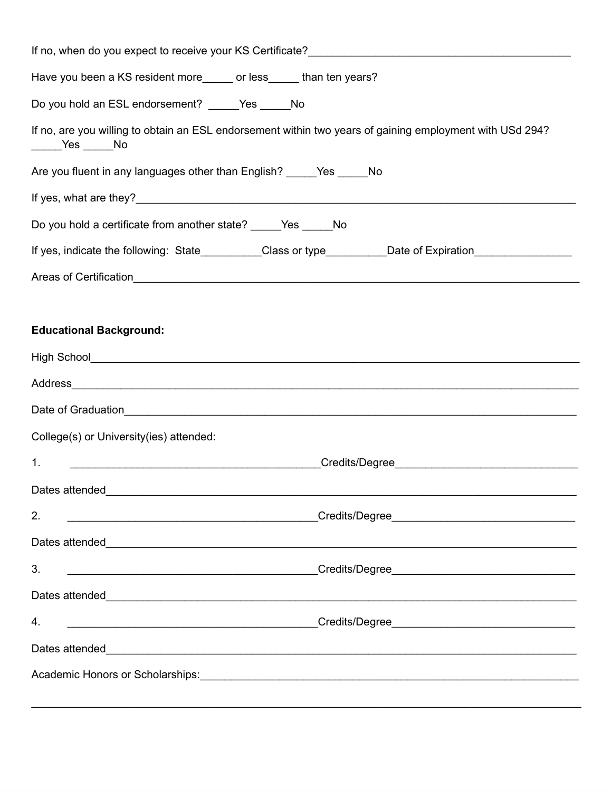| Have you been a KS resident more______ or less_____ than ten years?                                                                                                                                                            |  |  |  |  |
|--------------------------------------------------------------------------------------------------------------------------------------------------------------------------------------------------------------------------------|--|--|--|--|
| Do you hold an ESL endorsement? _____Yes _____No                                                                                                                                                                               |  |  |  |  |
| If no, are you willing to obtain an ESL endorsement within two years of gaining employment with USd 294?<br>$\rule{1em}{0.15mm}$ Yes $\rule{1em}{0.15mm}$ No                                                                   |  |  |  |  |
| Are you fluent in any languages other than English? _____Yes _____No                                                                                                                                                           |  |  |  |  |
|                                                                                                                                                                                                                                |  |  |  |  |
| Do you hold a certificate from another state? _____Yes _____No                                                                                                                                                                 |  |  |  |  |
| If yes, indicate the following: State_________Class or type_________Date of Expiration______________                                                                                                                           |  |  |  |  |
|                                                                                                                                                                                                                                |  |  |  |  |
|                                                                                                                                                                                                                                |  |  |  |  |
| <b>Educational Background:</b>                                                                                                                                                                                                 |  |  |  |  |
|                                                                                                                                                                                                                                |  |  |  |  |
| Address and the contract of the contract of the contract of the contract of the contract of the contract of the contract of the contract of the contract of the contract of the contract of the contract of the contract of th |  |  |  |  |
|                                                                                                                                                                                                                                |  |  |  |  |
| College(s) or University(ies) attended:                                                                                                                                                                                        |  |  |  |  |
| 1.                                                                                                                                                                                                                             |  |  |  |  |
|                                                                                                                                                                                                                                |  |  |  |  |
| 2.                                                                                                                                                                                                                             |  |  |  |  |
|                                                                                                                                                                                                                                |  |  |  |  |
| 3.                                                                                                                                                                                                                             |  |  |  |  |
|                                                                                                                                                                                                                                |  |  |  |  |
| 4.                                                                                                                                                                                                                             |  |  |  |  |
|                                                                                                                                                                                                                                |  |  |  |  |
|                                                                                                                                                                                                                                |  |  |  |  |
|                                                                                                                                                                                                                                |  |  |  |  |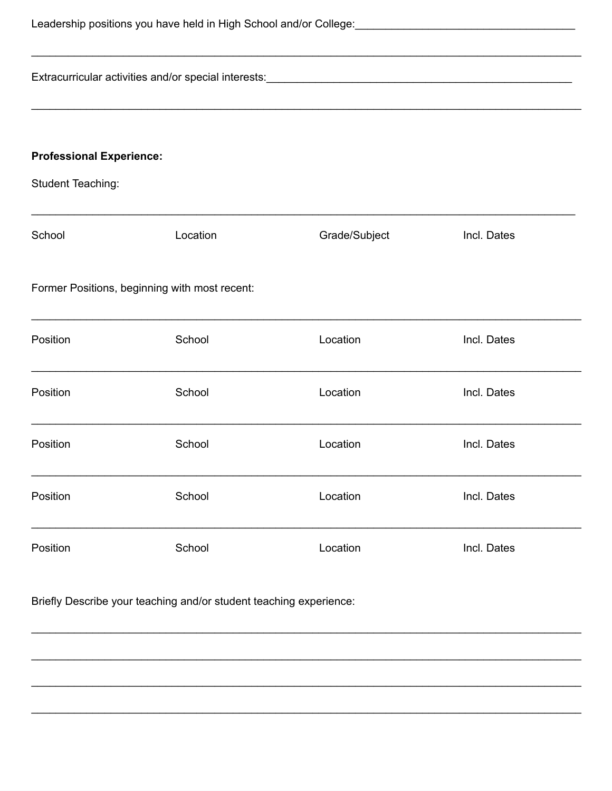| Extracurricular activities and/or special interests:<br><u>Extracurricular activities and/or special interests:</u> |          |                                                                                   |             |  |
|---------------------------------------------------------------------------------------------------------------------|----------|-----------------------------------------------------------------------------------|-------------|--|
|                                                                                                                     |          | ,我们也不能在这里的时候,我们也不能在这里的时候,我们也不能不能不能不能不能不能不能不能不能不能不能不能不能不能不能。""我们的是,我们也不能不能不能不能不能不能 |             |  |
| <b>Professional Experience:</b>                                                                                     |          |                                                                                   |             |  |
| <b>Student Teaching:</b>                                                                                            |          |                                                                                   |             |  |
| School                                                                                                              | Location | Grade/Subject                                                                     | Incl. Dates |  |
| Former Positions, beginning with most recent:                                                                       |          |                                                                                   |             |  |
| Position                                                                                                            | School   | Location                                                                          | Incl. Dates |  |
| Position                                                                                                            | School   | Location                                                                          | Incl. Dates |  |
| Position                                                                                                            | School   | Location                                                                          | Incl. Dates |  |
| Position                                                                                                            | School   | Location                                                                          | Incl. Dates |  |
| Position                                                                                                            | School   | Location                                                                          | Incl. Dates |  |
| Briefly Describe your teaching and/or student teaching experience:                                                  |          |                                                                                   |             |  |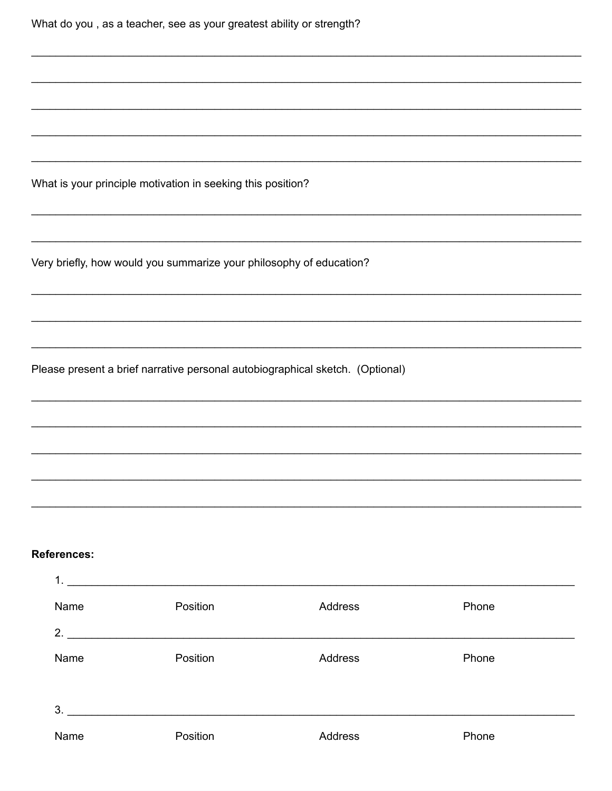| What do you, as a teacher, see as your greatest ability or strength?          |  |  |
|-------------------------------------------------------------------------------|--|--|
|                                                                               |  |  |
|                                                                               |  |  |
|                                                                               |  |  |
| What is your principle motivation in seeking this position?                   |  |  |
| Very briefly, how would you summarize your philosophy of education?           |  |  |
|                                                                               |  |  |
| Please present a brief narrative personal autobiographical sketch. (Optional) |  |  |
|                                                                               |  |  |
|                                                                               |  |  |
|                                                                               |  |  |
| <b>References:</b>                                                            |  |  |

| -1.  |          |                |       |
|------|----------|----------------|-------|
| Name | Position | Address        | Phone |
| 2.   |          |                |       |
| Name | Position | Address        | Phone |
| 3.   |          |                |       |
| Name | Position | <b>Address</b> | Phone |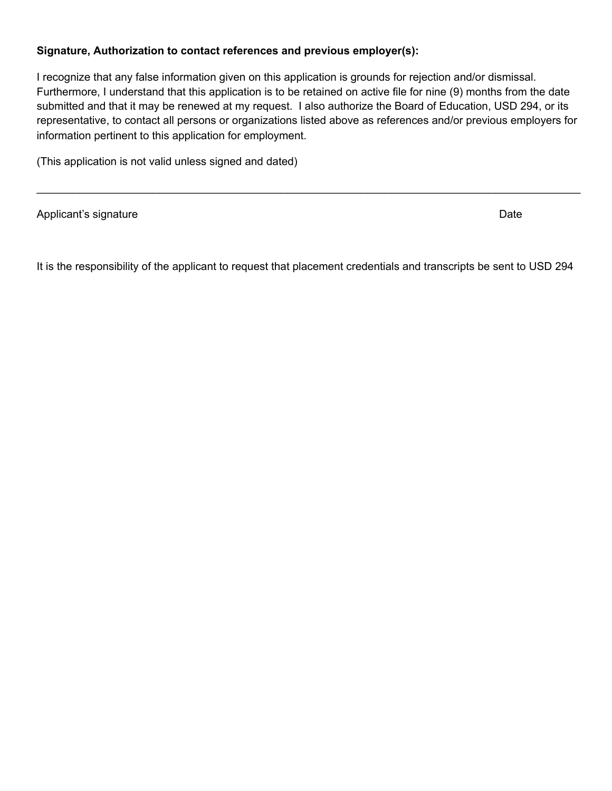## **Signature, Authorization to contact references and previous employer(s):**

I recognize that any false information given on this application is grounds for rejection and/or dismissal. Furthermore, I understand that this application is to be retained on active file for nine (9) months from the date submitted and that it may be renewed at my request. I also authorize the Board of Education, USD 294, or its representative, to contact all persons or organizations listed above as references and/or previous employers for information pertinent to this application for employment.

 $\mathcal{L}_\mathcal{L} = \mathcal{L}_\mathcal{L} = \mathcal{L}_\mathcal{L} = \mathcal{L}_\mathcal{L} = \mathcal{L}_\mathcal{L} = \mathcal{L}_\mathcal{L} = \mathcal{L}_\mathcal{L} = \mathcal{L}_\mathcal{L} = \mathcal{L}_\mathcal{L} = \mathcal{L}_\mathcal{L} = \mathcal{L}_\mathcal{L} = \mathcal{L}_\mathcal{L} = \mathcal{L}_\mathcal{L} = \mathcal{L}_\mathcal{L} = \mathcal{L}_\mathcal{L} = \mathcal{L}_\mathcal{L} = \mathcal{L}_\mathcal{L}$ 

(This application is not valid unless signed and dated)

Applicant's signature Date Date Controller and the Date Date Date Date Date

It is the responsibility of the applicant to request that placement credentials and transcripts be sent to USD 294